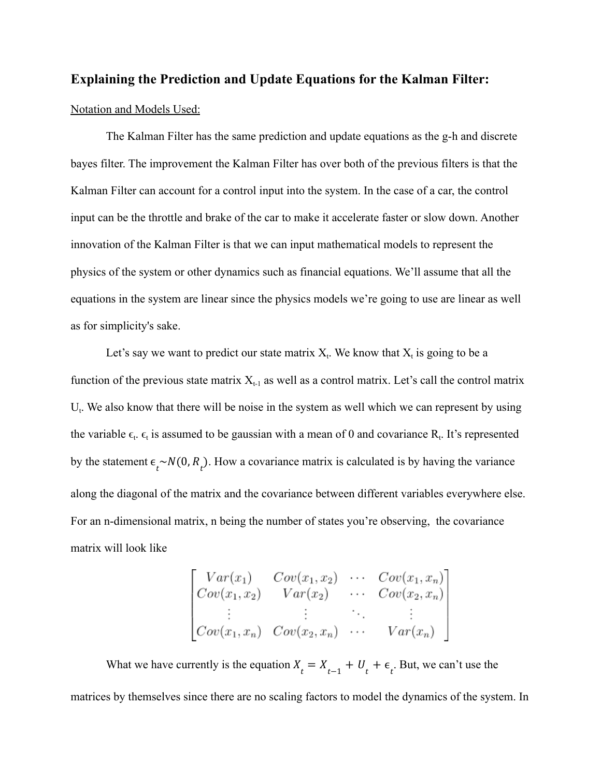## **Explaining the Prediction and Update Equations for the Kalman Filter:**

#### Notation and Models Used:

The Kalman Filter has the same prediction and update equations as the g-h and discrete bayes filter. The improvement the Kalman Filter has over both of the previous filters is that the Kalman Filter can account for a control input into the system. In the case of a car, the control input can be the throttle and brake of the car to make it accelerate faster or slow down. Another innovation of the Kalman Filter is that we can input mathematical models to represent the physics of the system or other dynamics such as financial equations. We'll assume that all the equations in the system are linear since the physics models we're going to use are linear as well as for simplicity's sake.

Let's say we want to predict our state matrix  $X_t$ . We know that  $X_t$  is going to be a function of the previous state matrix  $X_{t-1}$  as well as a control matrix. Let's call the control matrix  $U_t$ . We also know that there will be noise in the system as well which we can represent by using the variable  $\epsilon_t$ .  $\epsilon_t$  is assumed to be gaussian with a mean of 0 and covariance  $R_t$ . It's represented by the statement  $\epsilon_t \sim N(0, R_t)$ . How a covariance matrix is calculated is by having the variance along the diagonal of the matrix and the covariance between different variables everywhere else. For an n-dimensional matrix, n being the number of states you're observing, the covariance matrix will look like

$$
\begin{bmatrix}\nVar(x_1) & Cov(x_1, x_2) & \cdots & Cov(x_1, x_n) \\
Cov(x_1, x_2) & Var(x_2) & \cdots & Cov(x_2, x_n) \\
\vdots & \vdots & \ddots & \vdots \\
Cov(x_1, x_n) & Cov(x_2, x_n) & \cdots & Var(x_n)\n\end{bmatrix}
$$

What we have currently is the equation  $X_t = X_{t-1} + U_t + \epsilon_t$ . But, we can't use the matrices by themselves since there are no scaling factors to model the dynamics of the system. In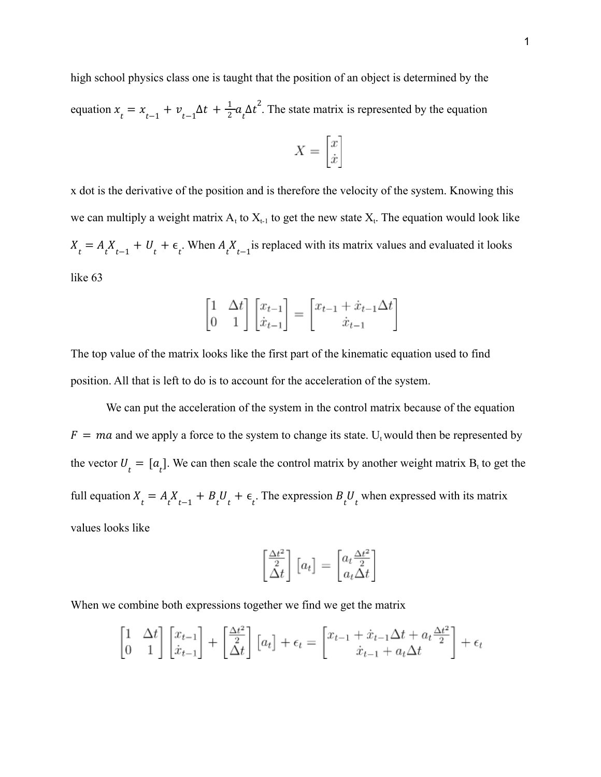high school physics class one is taught that the position of an object is determined by the equation  $x_t = x_{t-1} + v_{t-1} \Delta t + \frac{1}{2} a_t \Delta t^2$ . The state matrix is represented by the equation  $rac{1}{2}a_t\Delta t^2$ .

$$
X = \begin{bmatrix} x \\ \dot{x} \end{bmatrix}
$$

x dot is the derivative of the position and is therefore the velocity of the system. Knowing this we can multiply a weight matrix  $A_t$  to  $X_{t-1}$  to get the new state  $X_t$ . The equation would look like  $X_t = A_t X_{t-1} + U_t + \epsilon_t$ . When  $A_t X_{t-1}$  is replaced with its matrix values and evaluated it looks like 63

$$
\begin{bmatrix} 1 & \Delta t \\ 0 & 1 \end{bmatrix} \begin{bmatrix} x_{t-1} \\ \dot{x}_{t-1} \end{bmatrix} = \begin{bmatrix} x_{t-1} + \dot{x}_{t-1} \Delta t \\ \dot{x}_{t-1} \end{bmatrix}
$$

The top value of the matrix looks like the first part of the kinematic equation used to find position. All that is left to do is to account for the acceleration of the system.

We can put the acceleration of the system in the control matrix because of the equation  $F = ma$  and we apply a force to the system to change its state. U<sub>t</sub> would then be represented by the vector  $U_t = [a_t]$ . We can then scale the control matrix by another weight matrix  $B_t$  to get the full equation  $X_t = A_t X_{t-1} + B_t U_t + \epsilon_t$ . The expression  $B_t U_t$  when expressed with its matrix values looks like

$$
\begin{bmatrix} \frac{\Delta t^2}{2} \\ \Delta t \end{bmatrix} \begin{bmatrix} a_t \end{bmatrix} = \begin{bmatrix} a_t \frac{\Delta t^2}{2} \\ a_t \Delta t \end{bmatrix}
$$

When we combine both expressions together we find we get the matrix

$$
\begin{bmatrix} 1 & \Delta t \\ 0 & 1 \end{bmatrix} \begin{bmatrix} x_{t-1} \\ \dot{x}_{t-1} \end{bmatrix} + \begin{bmatrix} \frac{\Delta t^2}{2} \\ \Delta t \end{bmatrix} \begin{bmatrix} a_t \end{bmatrix} + \epsilon_t = \begin{bmatrix} x_{t-1} + \dot{x}_{t-1} \Delta t + a_t \frac{\Delta t^2}{2} \\ \dot{x}_{t-1} + a_t \Delta t \end{bmatrix} + \epsilon_t
$$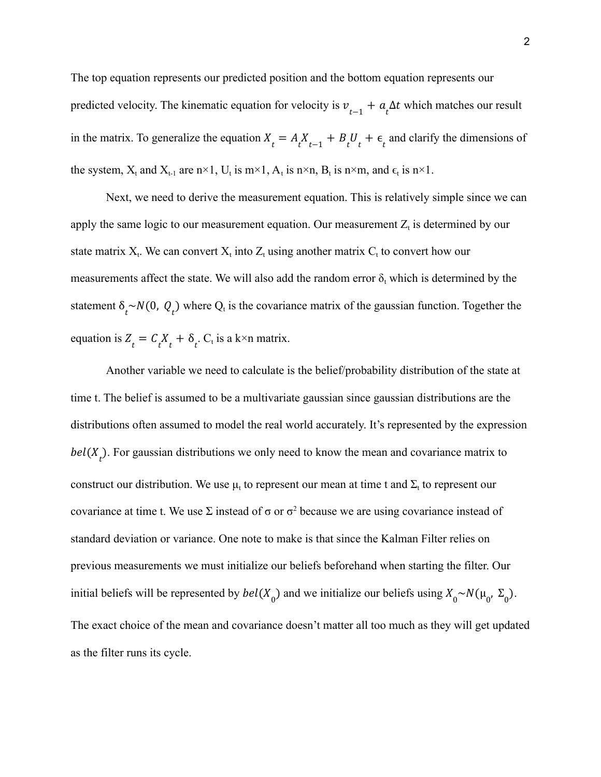The top equation represents our predicted position and the bottom equation represents our predicted velocity. The kinematic equation for velocity is  $v_{t-1} + a_t \Delta t$  which matches our result in the matrix. To generalize the equation  $X_t = A_t X_{t-1} + B_t U_t + \epsilon_t$  and clarify the dimensions of the system,  $X_t$  and  $X_{t-1}$  are n×1,  $U_t$  is m×1,  $A_t$  is n×n,  $B_t$  is n×m, and  $\epsilon_t$  is n×1.

Next, we need to derive the measurement equation. This is relatively simple since we can apply the same logic to our measurement equation. Our measurement  $Z_t$  is determined by our state matrix  $X_t$ . We can convert  $X_t$  into  $Z_t$  using another matrix  $C_t$  to convert how our measurements affect the state. We will also add the random error  $\delta_t$  which is determined by the statement  $\delta_t \sim N(0, Q_t)$  where  $Q_t$  is the covariance matrix of the gaussian function. Together the equation is  $Z_t = C_t X_t + \delta_t$ .  $C_t$  is a k×n matrix.

Another variable we need to calculate is the belief/probability distribution of the state at time t. The belief is assumed to be a multivariate gaussian since gaussian distributions are the distributions often assumed to model the real world accurately. It's represented by the expression  $bel(X<sub>t</sub>)$ . For gaussian distributions we only need to know the mean and covariance matrix to construct our distribution. We use  $\mu_t$  to represent our mean at time t and  $\Sigma_t$  to represent our covariance at time t. We use  $\Sigma$  instead of  $\sigma$  or  $\sigma^2$  because we are using covariance instead of standard deviation or variance. One note to make is that since the Kalman Filter relies on previous measurements we must initialize our beliefs beforehand when starting the filter. Our initial beliefs will be represented by  $bel(X_0)$  and we initialize our beliefs using  $X_0 \sim N(\mu_0, \Sigma_0)$ . The exact choice of the mean and covariance doesn't matter all too much as they will get updated as the filter runs its cycle.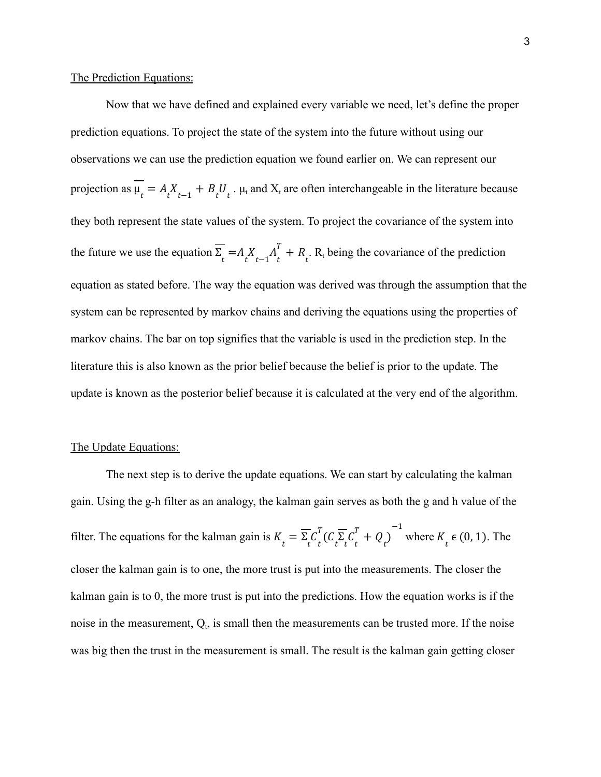### The Prediction Equations:

Now that we have defined and explained every variable we need, let's define the proper prediction equations. To project the state of the system into the future without using our observations we can use the prediction equation we found earlier on. We can represent our projection as  $\mu_t = A_t X_{t-1} + B_t U_t$ .  $\mu_t$  and  $X_t$  are often interchangeable in the literature because they both represent the state values of the system. To project the covariance of the system into the future we use the equation  $\Sigma_t = A_t X_{t-1} A_t^{\dagger} + R_t$ . R<sub>t</sub> being the covariance of the prediction  $_t^T + R_t$ equation as stated before. The way the equation was derived was through the assumption that the system can be represented by markov chains and deriving the equations using the properties of markov chains. The bar on top signifies that the variable is used in the prediction step. In the literature this is also known as the prior belief because the belief is prior to the update. The update is known as the posterior belief because it is calculated at the very end of the algorithm.

#### The Update Equations:

The next step is to derive the update equations. We can start by calculating the kalman gain. Using the g-h filter as an analogy, the kalman gain serves as both the g and h value of the filter. The equations for the kalman gain is  $K_t = \sum_t C_t^t (C_t \sum_t C_t^t + Q_t)$  where  $K_t \in (0, 1)$ . The  $\int_t^T$ ( $C \overline{\sum_t} C_t^T$  $\frac{T}{t} + Q_t$ −1  $K_{t}^{\mathbf{c}}$   $(0, 1)$  . closer the kalman gain is to one, the more trust is put into the measurements. The closer the kalman gain is to 0, the more trust is put into the predictions. How the equation works is if the noise in the measurement,  $Q_t$ , is small then the measurements can be trusted more. If the noise was big then the trust in the measurement is small. The result is the kalman gain getting closer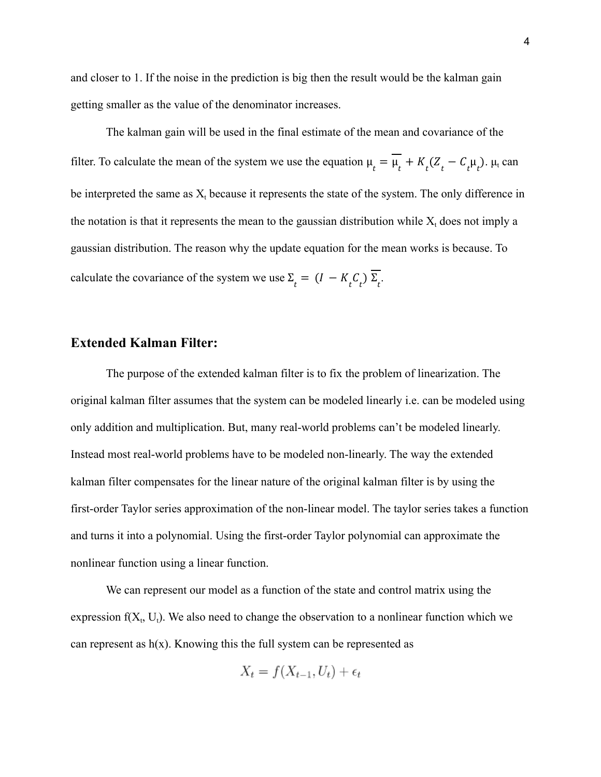and closer to 1. If the noise in the prediction is big then the result would be the kalman gain getting smaller as the value of the denominator increases.

The kalman gain will be used in the final estimate of the mean and covariance of the filter. To calculate the mean of the system we use the equation  $\mu_t = \mu_t + K_t (Z_t - C_t \mu_t)$ .  $\mu_t$  can be interpreted the same as  $X_t$  because it represents the state of the system. The only difference in the notation is that it represents the mean to the gaussian distribution while  $X_t$  does not imply a gaussian distribution. The reason why the update equation for the mean works is because. To calculate the covariance of the system we use  $\Sigma_t = (I - K_t C_t) \Sigma_t$ .

# **Extended Kalman Filter:**

The purpose of the extended kalman filter is to fix the problem of linearization. The original kalman filter assumes that the system can be modeled linearly i.e. can be modeled using only addition and multiplication. But, many real-world problems can't be modeled linearly. Instead most real-world problems have to be modeled non-linearly. The way the extended kalman filter compensates for the linear nature of the original kalman filter is by using the first-order Taylor series approximation of the non-linear model. The taylor series takes a function and turns it into a polynomial. Using the first-order Taylor polynomial can approximate the nonlinear function using a linear function.

We can represent our model as a function of the state and control matrix using the expression  $f(X_t, U_t)$ . We also need to change the observation to a nonlinear function which we can represent as  $h(x)$ . Knowing this the full system can be represented as

$$
X_t = f(X_{t-1}, U_t) + \epsilon_t
$$